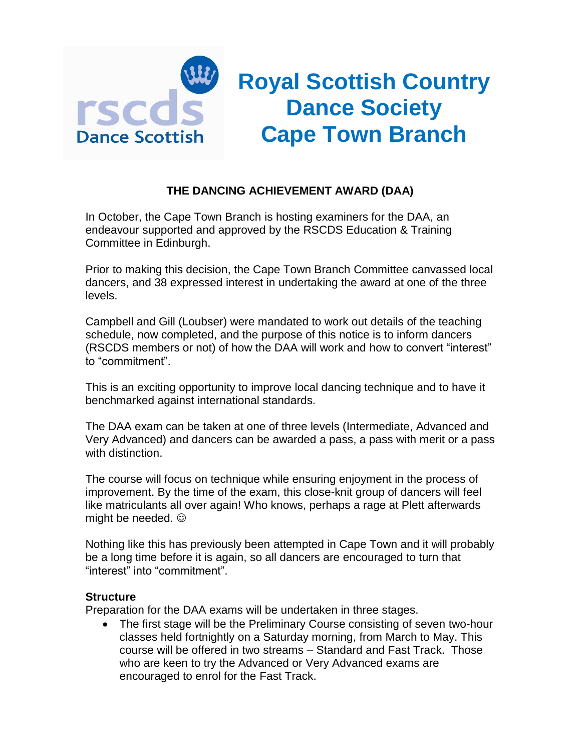

# **THE DANCING ACHIEVEMENT AWARD (DAA)**

In October, the Cape Town Branch is hosting examiners for the DAA, an endeavour supported and approved by the RSCDS Education & Training Committee in Edinburgh.

Prior to making this decision, the Cape Town Branch Committee canvassed local dancers, and 38 expressed interest in undertaking the award at one of the three levels.

Campbell and Gill (Loubser) were mandated to work out details of the teaching schedule, now completed, and the purpose of this notice is to inform dancers (RSCDS members or not) of how the DAA will work and how to convert "interest" to "commitment".

This is an exciting opportunity to improve local dancing technique and to have it benchmarked against international standards.

The DAA exam can be taken at one of three levels (Intermediate, Advanced and Very Advanced) and dancers can be awarded a pass, a pass with merit or a pass with distinction.

The course will focus on technique while ensuring enjoyment in the process of improvement. By the time of the exam, this close-knit group of dancers will feel like matriculants all over again! Who knows, perhaps a rage at Plett afterwards might be needed.  $\odot$ 

Nothing like this has previously been attempted in Cape Town and it will probably be a long time before it is again, so all dancers are encouraged to turn that "interest" into "commitment".

#### **Structure**

Preparation for the DAA exams will be undertaken in three stages.

• The first stage will be the Preliminary Course consisting of seven two-hour classes held fortnightly on a Saturday morning, from March to May. This course will be offered in two streams – Standard and Fast Track. Those who are keen to try the Advanced or Very Advanced exams are encouraged to enrol for the Fast Track.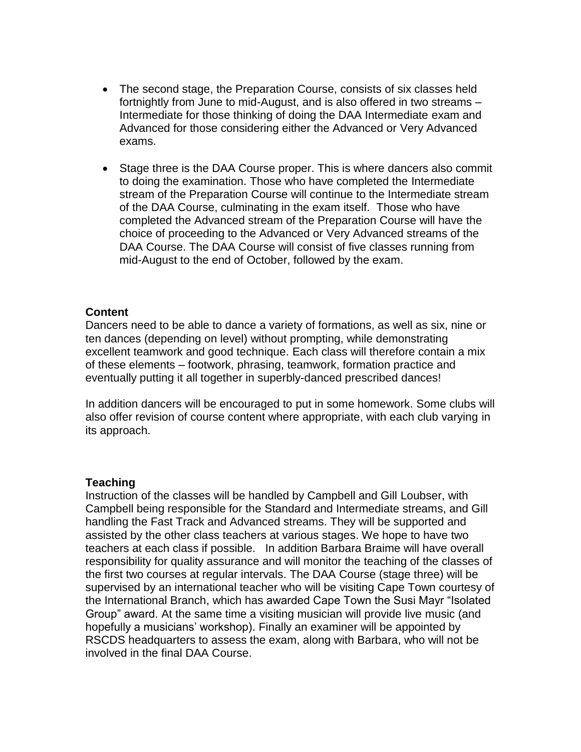- The second stage, the Preparation Course, consists of six classes held fortnightly from June to mid-August, and is also offered in two streams – Intermediate for those thinking of doing the DAA Intermediate exam and Advanced for those considering either the Advanced or Very Advanced exams.
- Stage three is the DAA Course proper. This is where dancers also commit to doing the examination. Those who have completed the Intermediate stream of the Preparation Course will continue to the Intermediate stream of the DAA Course, culminating in the exam itself. Those who have completed the Advanced stream of the Preparation Course will have the choice of proceeding to the Advanced or Very Advanced streams of the DAA Course. The DAA Course will consist of five classes running from mid-August to the end of October, followed by the exam.

### **Content**

Dancers need to be able to dance a variety of formations, as well as six, nine or ten dances (depending on level) without prompting, while demonstrating excellent teamwork and good technique. Each class will therefore contain a mix of these elements – footwork, phrasing, teamwork, formation practice and eventually putting it all together in superbly-danced prescribed dances!

In addition dancers will be encouraged to put in some homework. Some clubs will also offer revision of course content where appropriate, with each club varying in its approach.

#### **Teaching**

Instruction of the classes will be handled by Campbell and Gill Loubser, with Campbell being responsible for the Standard and Intermediate streams, and Gill handling the Fast Track and Advanced streams. They will be supported and assisted by the other class teachers at various stages. We hope to have two teachers at each class if possible. In addition Barbara Braime will have overall responsibility for quality assurance and will monitor the teaching of the classes of the first two courses at regular intervals. The DAA Course (stage three) will be supervised by an international teacher who will be visiting Cape Town courtesy of the International Branch, which has awarded Cape Town the Susi Mayr "Isolated Group" award. At the same time a visiting musician will provide live music (and hopefully a musicians' workshop). Finally an examiner will be appointed by RSCDS headquarters to assess the exam, along with Barbara, who will not be involved in the final DAA Course.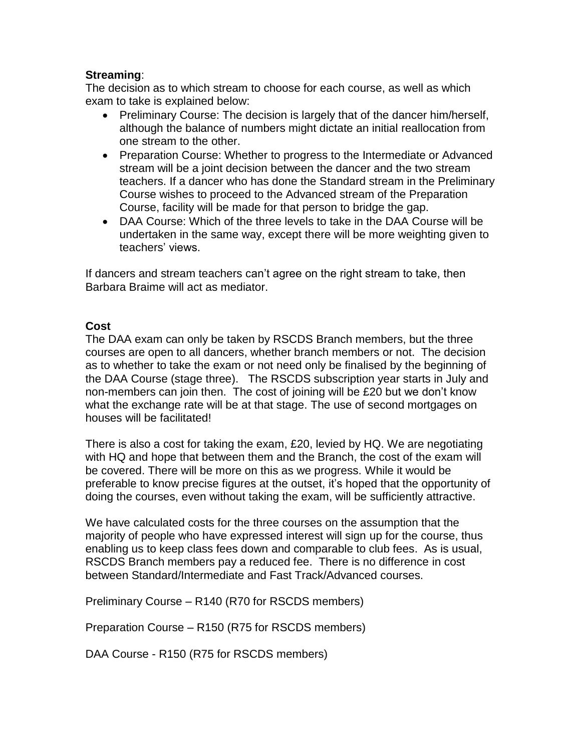## **Streaming**:

The decision as to which stream to choose for each course, as well as which exam to take is explained below:

- Preliminary Course: The decision is largely that of the dancer him/herself, although the balance of numbers might dictate an initial reallocation from one stream to the other.
- Preparation Course: Whether to progress to the Intermediate or Advanced stream will be a joint decision between the dancer and the two stream teachers. If a dancer who has done the Standard stream in the Preliminary Course wishes to proceed to the Advanced stream of the Preparation Course, facility will be made for that person to bridge the gap.
- DAA Course: Which of the three levels to take in the DAA Course will be undertaken in the same way, except there will be more weighting given to teachers' views.

If dancers and stream teachers can't agree on the right stream to take, then Barbara Braime will act as mediator.

### **Cost**

The DAA exam can only be taken by RSCDS Branch members, but the three courses are open to all dancers, whether branch members or not. The decision as to whether to take the exam or not need only be finalised by the beginning of the DAA Course (stage three). The RSCDS subscription year starts in July and non-members can join then. The cost of joining will be £20 but we don't know what the exchange rate will be at that stage. The use of second mortgages on houses will be facilitated!

There is also a cost for taking the exam, £20, levied by HQ. We are negotiating with HQ and hope that between them and the Branch, the cost of the exam will be covered. There will be more on this as we progress. While it would be preferable to know precise figures at the outset, it's hoped that the opportunity of doing the courses, even without taking the exam, will be sufficiently attractive.

We have calculated costs for the three courses on the assumption that the majority of people who have expressed interest will sign up for the course, thus enabling us to keep class fees down and comparable to club fees. As is usual, RSCDS Branch members pay a reduced fee. There is no difference in cost between Standard/Intermediate and Fast Track/Advanced courses.

Preliminary Course – R140 (R70 for RSCDS members)

Preparation Course – R150 (R75 for RSCDS members)

DAA Course - R150 (R75 for RSCDS members)